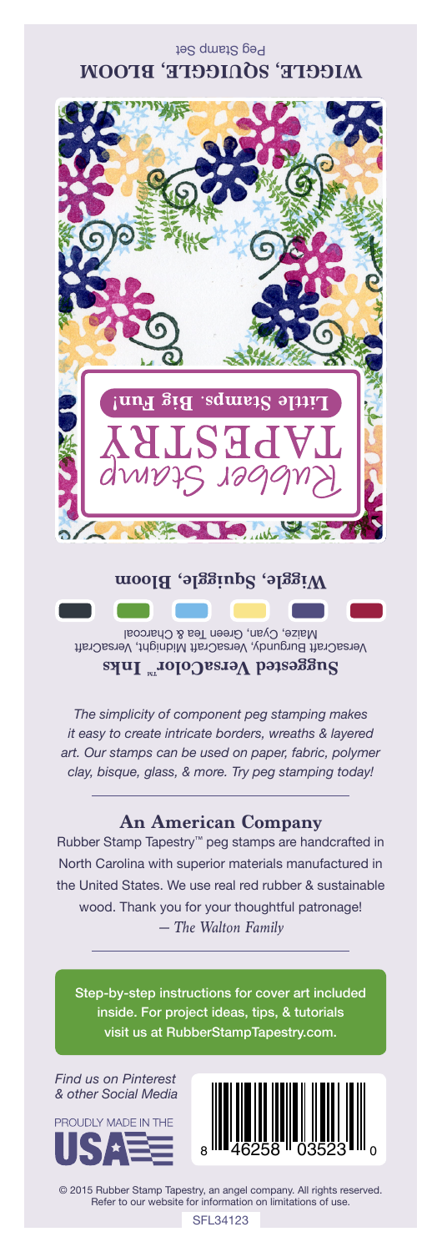## Peg Stamp Set **WIGGLE, SQUIGGLE, BLOOM**



VersaCraft Burgundy, VersaCraft Midnight, VersaCraft Maize, Cyan, Green Tea & Charcoal **Suggested VersaColorTM Inks**

*The simplicity of component peg stamping makes it easy to create intricate borders, wreaths & layered art. Our stamps can be used on paper, fabric, polymer clay, bisque, glass, & more. Try peg stamping today!*

## **An American Company**

*— The Walton Family* Rubber Stamp Tapestry™ peg stamps are handcrafted in North Carolina with superior materials manufactured in the United States. We use real red rubber & sustainable wood. Thank you for your thoughtful patronage!

Step-by-step instructions for cover art included inside. For project ideas, tips, & tutorials visit us at RubberStampTapestry.com.

*Find us on Pinterest & other Social Media*





© 2015 Rubber Stamp Tapestry, an angel company. All rights reserved. Refer to our website for information on limitations of use.